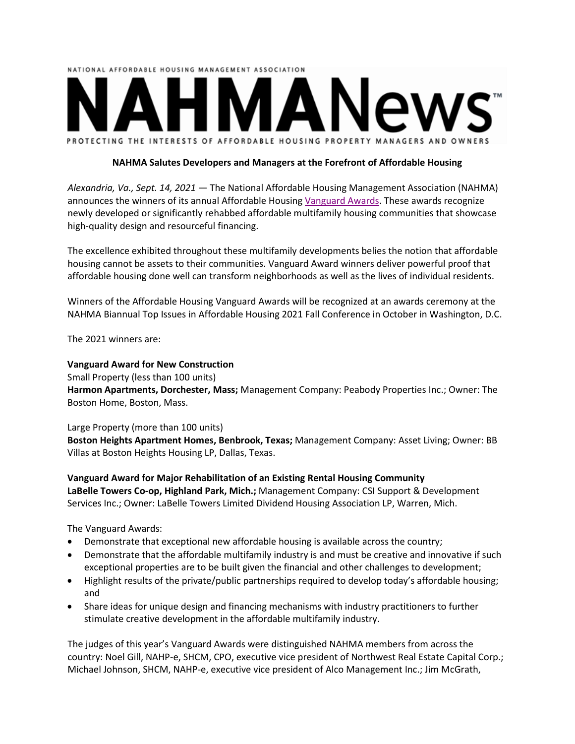

## **NAHMA Salutes Developers and Managers at the Forefront of Affordable Housing**

*Alexandria, Va., Sept. 14, 2021* ― The National Affordable Housing Management Association (NAHMA) announces the winners of its annual Affordable Housing [Vanguard](https://www.nahma.org/awards-contests/vanguard-awards-2/) Awards. These awards recognize newly developed or significantly rehabbed affordable multifamily housing communities that showcase high-quality design and resourceful financing.

The excellence exhibited throughout these multifamily developments belies the notion that affordable housing cannot be assets to their communities. Vanguard Award winners deliver powerful proof that affordable housing done well can transform neighborhoods as well as the lives of individual residents.

Winners of the Affordable Housing Vanguard Awards will be recognized at an awards ceremony at the NAHMA Biannual Top Issues in Affordable Housing 2021 Fall Conference in October in Washington, D.C.

The 2021 winners are:

## **Vanguard Award for New Construction**

Small Property (less than 100 units)

**Harmon Apartments, Dorchester, Mass;** Management Company: Peabody Properties Inc.; Owner: The Boston Home, Boston, Mass.

## Large Property (more than 100 units)

**Boston Heights Apartment Homes, Benbrook, Texas;** Management Company: Asset Living; Owner: BB Villas at Boston Heights Housing LP, Dallas, Texas.

**Vanguard Award for Major Rehabilitation of an Existing Rental Housing Community LaBelle Towers Co-op, Highland Park, Mich.;** Management Company: CSI Support & Development Services Inc.; Owner: LaBelle Towers Limited Dividend Housing Association LP, Warren, Mich.

The Vanguard Awards:

- Demonstrate that exceptional new affordable housing is available across the country;
- Demonstrate that the affordable multifamily industry is and must be creative and innovative if such exceptional properties are to be built given the financial and other challenges to development;
- Highlight results of the private/public partnerships required to develop today's affordable housing; and
- Share ideas for unique design and financing mechanisms with industry practitioners to further stimulate creative development in the affordable multifamily industry.

The judges of this year's Vanguard Awards were distinguished NAHMA members from across the country: Noel Gill, NAHP-e, SHCM, CPO, executive vice president of Northwest Real Estate Capital Corp.; Michael Johnson, SHCM, NAHP-e, executive vice president of Alco Management Inc.; Jim McGrath,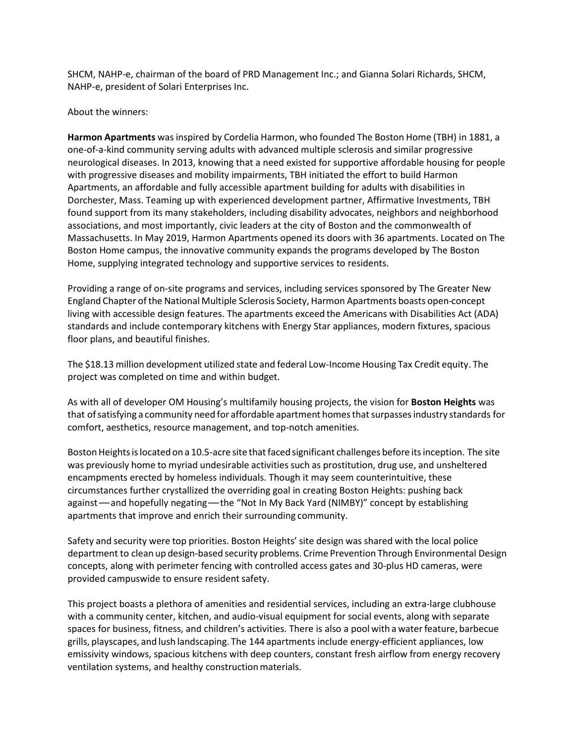SHCM, NAHP-e, chairman of the board of PRD Management Inc.; and Gianna Solari Richards, SHCM, NAHP-e, president of Solari Enterprises Inc.

## About the winners:

**Harmon Apartments** was inspired by Cordelia Harmon, who founded The Boston Home (TBH) in 1881, a one-of-a-kind community serving adults with advanced multiple sclerosis and similar progressive neurological diseases. In 2013, knowing that a need existed for supportive affordable housing for people with progressive diseases and mobility impairments, TBH initiated the effort to build Harmon Apartments, an affordable and fully accessible apartment building for adults with disabilities in Dorchester, Mass. Teaming up with experienced development partner, Affirmative Investments, TBH found support from its many stakeholders, including disability advocates, neighbors and neighborhood associations, and most importantly, civic leaders at the city of Boston and the commonwealth of Massachusetts. In May 2019, Harmon Apartments opened its doors with 36 apartments. Located on The Boston Home campus, the innovative community expands the programs developed by The Boston Home, supplying integrated technology and supportive services to residents.

Providing a range of on-site programs and services, including services sponsored by The Greater New England Chapter ofthe National Multiple Sclerosis Society, Harmon Apartments boasts open-concept living with accessible design features. The apartments exceed the Americans with Disabilities Act (ADA) standards and include contemporary kitchens with Energy Star appliances, modern fixtures, spacious floor plans, and beautiful finishes.

The \$18.13 million development utilized state and federal Low-Income Housing Tax Credit equity. The project was completed on time and within budget.

As with all of developer OM Housing's multifamily housing projects, the vision for **Boston Heights** was that of satisfying a community need for affordable apartment homes that surpasses industry standards for comfort, aesthetics, resource management, and top-notch amenities.

Boston Heights is located on a 10.5-acre site that faced significant challenges before its inception. The site was previously home to myriad undesirable activities such as prostitution, drug use, and unsheltered encampments erected by homeless individuals. Though it may seem counterintuitive, these circumstances further crystallized the overriding goal in creating Boston Heights: pushing back against—and hopefully negating—the "Not In My Back Yard (NIMBY)" concept by establishing apartments that improve and enrich their surrounding community.

Safety and security were top priorities. Boston Heights' site design was shared with the local police department to clean up design-based security problems. Crime Prevention Through Environmental Design concepts, along with perimeter fencing with controlled access gates and 30-plus HD cameras, were provided campuswide to ensure resident safety.

This project boasts a plethora of amenities and residential services, including an extra-large clubhouse with a community center, kitchen, and audio-visual equipment for social events, along with separate spaces for business, fitness, and children's activities. There is also a pool with a waterfeature, barbecue grills, playscapes, and lush landscaping. The 144 apartments include energy-efficient appliances, low emissivity windows, spacious kitchens with deep counters, constant fresh airflow from energy recovery ventilation systems, and healthy construction materials.